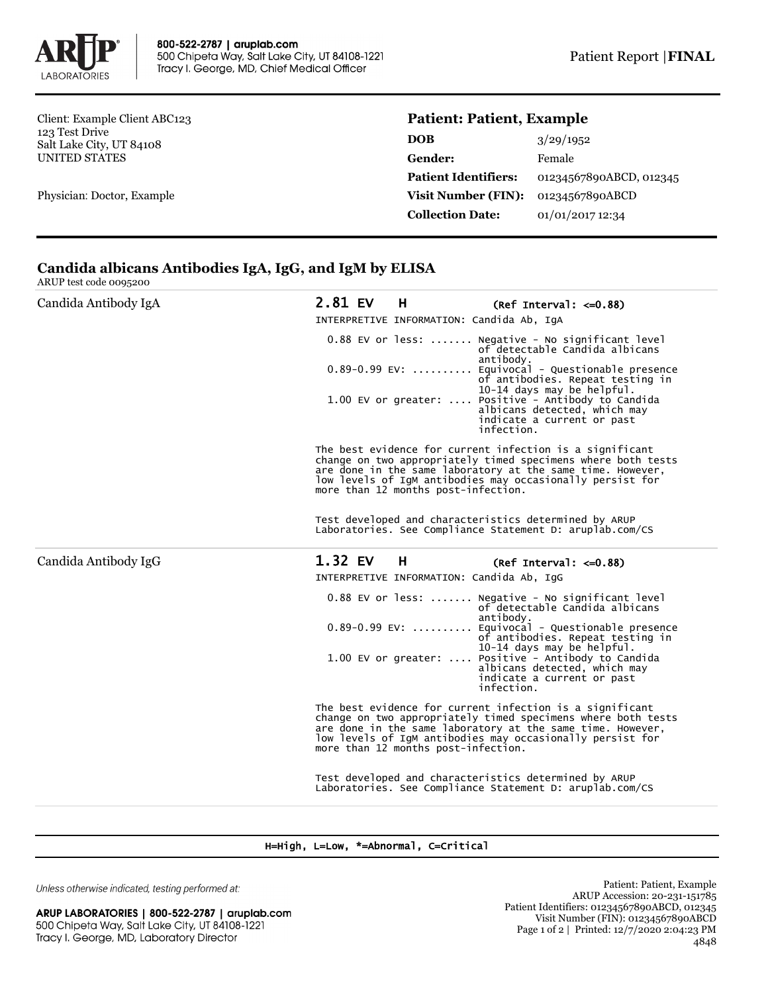

Client: Example Client ABC123 123 Test Drive Salt Lake City, UT 84108 UNITED STATES

Physician: Doctor, Example

## **Patient: Patient, Example**

| 3/29/1952               |
|-------------------------|
| Female                  |
| 01234567890ABCD, 012345 |
| 01234567890ABCD         |
| 01/01/2017 12:34        |
|                         |

# **Candida albicans Antibodies IgA, IgG, and IgM by ELISA**

ARUP test code 0095200

| Candida Antibody IgA | 2.81 EV<br>H                                                                                                                                                                                                                                                                               | $(Ref Interval: < =0.88)$                                                                                                                                                                                                                                                                                                                                 |  |  |
|----------------------|--------------------------------------------------------------------------------------------------------------------------------------------------------------------------------------------------------------------------------------------------------------------------------------------|-----------------------------------------------------------------------------------------------------------------------------------------------------------------------------------------------------------------------------------------------------------------------------------------------------------------------------------------------------------|--|--|
|                      | INTERPRETIVE INFORMATION: Candida Ab, IqA                                                                                                                                                                                                                                                  |                                                                                                                                                                                                                                                                                                                                                           |  |  |
|                      |                                                                                                                                                                                                                                                                                            | 0.88 EV or less:  Negative - No significant level<br>of detectable Candida albicans<br>antibody.<br>0.89-0.99 EV:  Equivocal - Questionable presence<br>of antibodies. Repeat testing in<br>10-14 days may be helpful.<br>1.00 EV or greater:  Positive - Antibody to Candida<br>albicans detected, which may<br>indicate a current or past<br>infection. |  |  |
|                      | The best evidence for current infection is a significant<br>change on two appropriately timed specimens where both tests<br>are done in the same laboratory at the same time. However,<br>low levels of IgM antibodies may occasionally persist for<br>more than 12 months post-infection. |                                                                                                                                                                                                                                                                                                                                                           |  |  |
|                      | Test developed and characteristics determined by ARUP<br>Laboratories. See Compliance Statement D: aruplab.com/CS                                                                                                                                                                          |                                                                                                                                                                                                                                                                                                                                                           |  |  |
| Candida Antibody IgG | 1.32 EV<br>н                                                                                                                                                                                                                                                                               | $(Ref Interval: < =0.88)$                                                                                                                                                                                                                                                                                                                                 |  |  |
|                      | INTERPRETIVE INFORMATION: Candida Ab, IqG                                                                                                                                                                                                                                                  |                                                                                                                                                                                                                                                                                                                                                           |  |  |
|                      |                                                                                                                                                                                                                                                                                            | 0.88 EV or less:  Negative - No significant level<br>of detectable Candida albicans<br>antibody.<br>0.89-0.99 EV:  Equivocal - Questionable presence<br>of antibodies. Repeat testing in<br>10-14 days may be helpful.<br>1.00 EV or greater:  Positive - Antibody to Candida<br>albicans detected, which may<br>indicate a current or past<br>infection. |  |  |
|                      | The best evidence for current infection is a significant<br>change on two appropriately timed specimens where both tests<br>are done in the same laboratory at the same time. However,<br>low levels of IgM antibodies may occasionally persist for<br>more than 12 months post-infection. |                                                                                                                                                                                                                                                                                                                                                           |  |  |
|                      |                                                                                                                                                                                                                                                                                            | Test developed and characteristics determined by ARUP<br>Laboratories. See Compliance Statement D: aruplab.com/CS                                                                                                                                                                                                                                         |  |  |

#### H=High, L=Low, \*=Abnormal, C=Critical

Unless otherwise indicated, testing performed at:

ARUP LABORATORIES | 800-522-2787 | aruplab.com 500 Chipeta Way, Salt Lake City, UT 84108-1221 Tracy I. George, MD, Laboratory Director

Patient: Patient, Example ARUP Accession: 20-231-151785 Patient Identifiers: 01234567890ABCD, 012345 Visit Number (FIN): 01234567890ABCD Page 1 of 2 | Printed: 12/7/2020 2:04:23 PM 4848